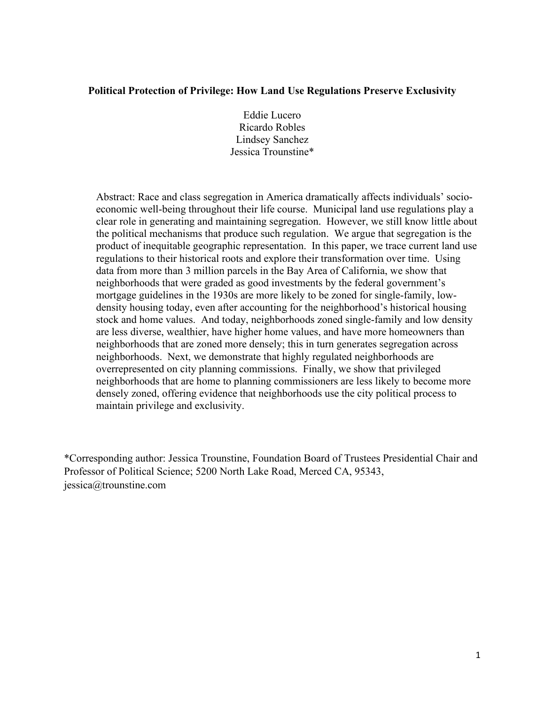# **Political Protection of Privilege: How Land Use Regulations Preserve Exclusivity**

Eddie Lucero Ricardo Robles Lindsey Sanchez Jessica Trounstine\*

Abstract: Race and class segregation in America dramatically affects individuals' socioeconomic well-being throughout their life course. Municipal land use regulations play a clear role in generating and maintaining segregation. However, we still know little about the political mechanisms that produce such regulation. We argue that segregation is the product of inequitable geographic representation. In this paper, we trace current land use regulations to their historical roots and explore their transformation over time. Using data from more than 3 million parcels in the Bay Area of California, we show that neighborhoods that were graded as good investments by the federal government's mortgage guidelines in the 1930s are more likely to be zoned for single-family, lowdensity housing today, even after accounting for the neighborhood's historical housing stock and home values. And today, neighborhoods zoned single-family and low density are less diverse, wealthier, have higher home values, and have more homeowners than neighborhoods that are zoned more densely; this in turn generates segregation across neighborhoods. Next, we demonstrate that highly regulated neighborhoods are overrepresented on city planning commissions. Finally, we show that privileged neighborhoods that are home to planning commissioners are less likely to become more densely zoned, offering evidence that neighborhoods use the city political process to maintain privilege and exclusivity.

\*Corresponding author: Jessica Trounstine, Foundation Board of Trustees Presidential Chair and Professor of Political Science; 5200 North Lake Road, Merced CA, 95343, jessica@trounstine.com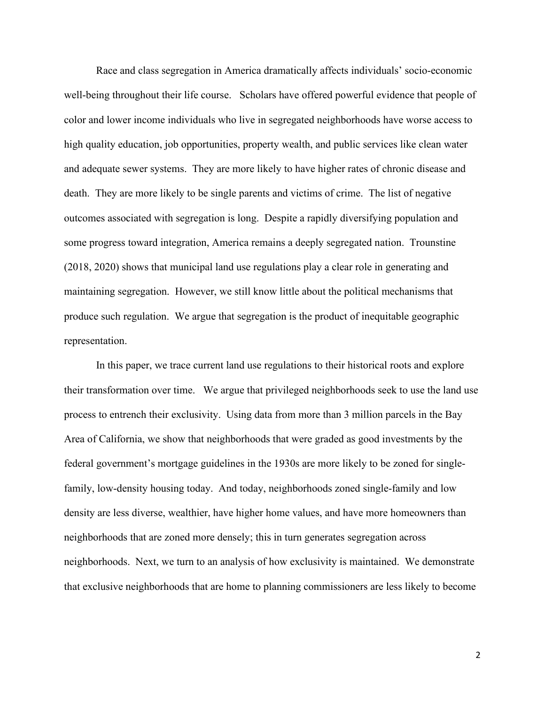Race and class segregation in America dramatically affects individuals' socio-economic well-being throughout their life course. Scholars have offered powerful evidence that people of color and lower income individuals who live in segregated neighborhoods have worse access to high quality education, job opportunities, property wealth, and public services like clean water and adequate sewer systems. They are more likely to have higher rates of chronic disease and death. They are more likely to be single parents and victims of crime. The list of negative outcomes associated with segregation is long. Despite a rapidly diversifying population and some progress toward integration, America remains a deeply segregated nation. Trounstine (2018, 2020) shows that municipal land use regulations play a clear role in generating and maintaining segregation. However, we still know little about the political mechanisms that produce such regulation. We argue that segregation is the product of inequitable geographic representation.

In this paper, we trace current land use regulations to their historical roots and explore their transformation over time. We argue that privileged neighborhoods seek to use the land use process to entrench their exclusivity. Using data from more than 3 million parcels in the Bay Area of California, we show that neighborhoods that were graded as good investments by the federal government's mortgage guidelines in the 1930s are more likely to be zoned for singlefamily, low-density housing today. And today, neighborhoods zoned single-family and low density are less diverse, wealthier, have higher home values, and have more homeowners than neighborhoods that are zoned more densely; this in turn generates segregation across neighborhoods. Next, we turn to an analysis of how exclusivity is maintained. We demonstrate that exclusive neighborhoods that are home to planning commissioners are less likely to become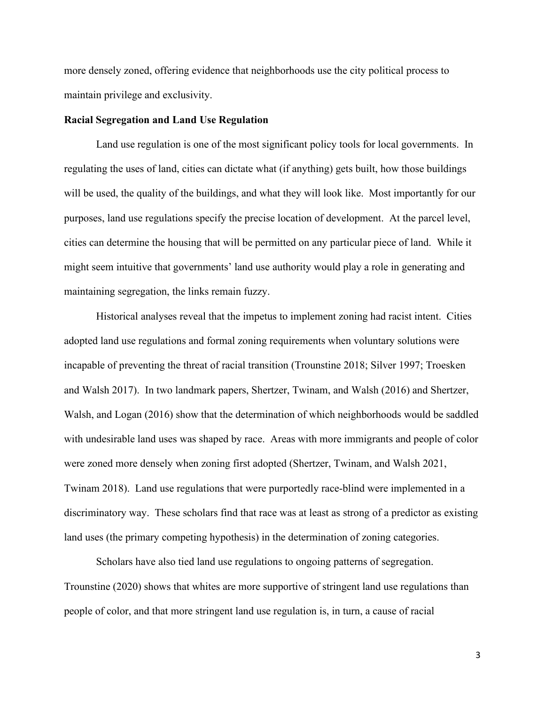more densely zoned, offering evidence that neighborhoods use the city political process to maintain privilege and exclusivity.

#### **Racial Segregation and Land Use Regulation**

Land use regulation is one of the most significant policy tools for local governments. In regulating the uses of land, cities can dictate what (if anything) gets built, how those buildings will be used, the quality of the buildings, and what they will look like. Most importantly for our purposes, land use regulations specify the precise location of development. At the parcel level, cities can determine the housing that will be permitted on any particular piece of land. While it might seem intuitive that governments' land use authority would play a role in generating and maintaining segregation, the links remain fuzzy.

Historical analyses reveal that the impetus to implement zoning had racist intent. Cities adopted land use regulations and formal zoning requirements when voluntary solutions were incapable of preventing the threat of racial transition (Trounstine 2018; Silver 1997; Troesken and Walsh 2017). In two landmark papers, Shertzer, Twinam, and Walsh (2016) and Shertzer, Walsh, and Logan (2016) show that the determination of which neighborhoods would be saddled with undesirable land uses was shaped by race. Areas with more immigrants and people of color were zoned more densely when zoning first adopted (Shertzer, Twinam, and Walsh 2021, Twinam 2018). Land use regulations that were purportedly race-blind were implemented in a discriminatory way. These scholars find that race was at least as strong of a predictor as existing land uses (the primary competing hypothesis) in the determination of zoning categories.

Scholars have also tied land use regulations to ongoing patterns of segregation. Trounstine (2020) shows that whites are more supportive of stringent land use regulations than people of color, and that more stringent land use regulation is, in turn, a cause of racial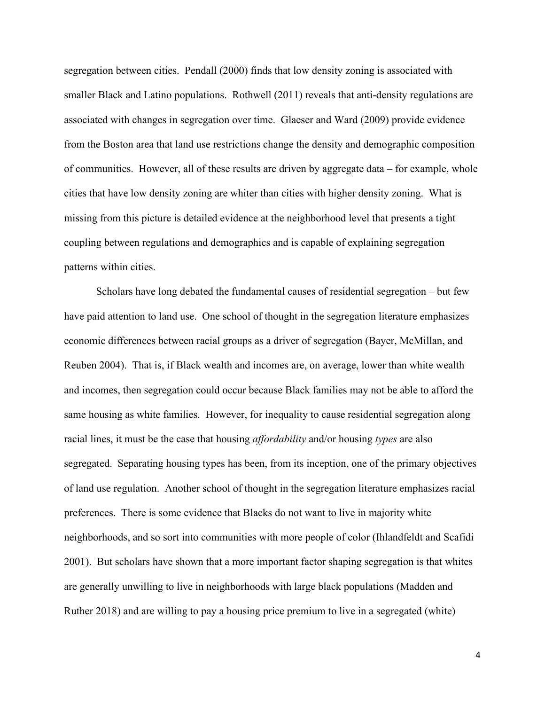segregation between cities. Pendall (2000) finds that low density zoning is associated with smaller Black and Latino populations. Rothwell (2011) reveals that anti-density regulations are associated with changes in segregation over time. Glaeser and Ward (2009) provide evidence from the Boston area that land use restrictions change the density and demographic composition of communities. However, all of these results are driven by aggregate data – for example, whole cities that have low density zoning are whiter than cities with higher density zoning. What is missing from this picture is detailed evidence at the neighborhood level that presents a tight coupling between regulations and demographics and is capable of explaining segregation patterns within cities.

Scholars have long debated the fundamental causes of residential segregation – but few have paid attention to land use. One school of thought in the segregation literature emphasizes economic differences between racial groups as a driver of segregation (Bayer, McMillan, and Reuben 2004). That is, if Black wealth and incomes are, on average, lower than white wealth and incomes, then segregation could occur because Black families may not be able to afford the same housing as white families. However, for inequality to cause residential segregation along racial lines, it must be the case that housing *affordability* and/or housing *types* are also segregated. Separating housing types has been, from its inception, one of the primary objectives of land use regulation. Another school of thought in the segregation literature emphasizes racial preferences. There is some evidence that Blacks do not want to live in majority white neighborhoods, and so sort into communities with more people of color (Ihlandfeldt and Scafidi 2001). But scholars have shown that a more important factor shaping segregation is that whites are generally unwilling to live in neighborhoods with large black populations (Madden and Ruther 2018) and are willing to pay a housing price premium to live in a segregated (white)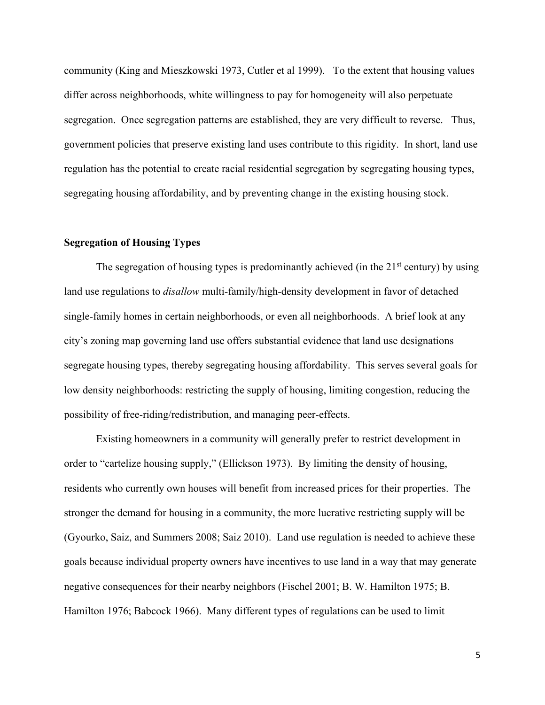community (King and Mieszkowski 1973, Cutler et al 1999). To the extent that housing values differ across neighborhoods, white willingness to pay for homogeneity will also perpetuate segregation. Once segregation patterns are established, they are very difficult to reverse. Thus, government policies that preserve existing land uses contribute to this rigidity. In short, land use regulation has the potential to create racial residential segregation by segregating housing types, segregating housing affordability, and by preventing change in the existing housing stock.

## **Segregation of Housing Types**

The segregation of housing types is predominantly achieved (in the  $21<sup>st</sup>$  century) by using land use regulations to *disallow* multi-family/high-density development in favor of detached single-family homes in certain neighborhoods, or even all neighborhoods. A brief look at any city's zoning map governing land use offers substantial evidence that land use designations segregate housing types, thereby segregating housing affordability. This serves several goals for low density neighborhoods: restricting the supply of housing, limiting congestion, reducing the possibility of free-riding/redistribution, and managing peer-effects.

Existing homeowners in a community will generally prefer to restrict development in order to "cartelize housing supply," (Ellickson 1973). By limiting the density of housing, residents who currently own houses will benefit from increased prices for their properties. The stronger the demand for housing in a community, the more lucrative restricting supply will be (Gyourko, Saiz, and Summers 2008; Saiz 2010). Land use regulation is needed to achieve these goals because individual property owners have incentives to use land in a way that may generate negative consequences for their nearby neighbors (Fischel 2001; B. W. Hamilton 1975; B. Hamilton 1976; Babcock 1966). Many different types of regulations can be used to limit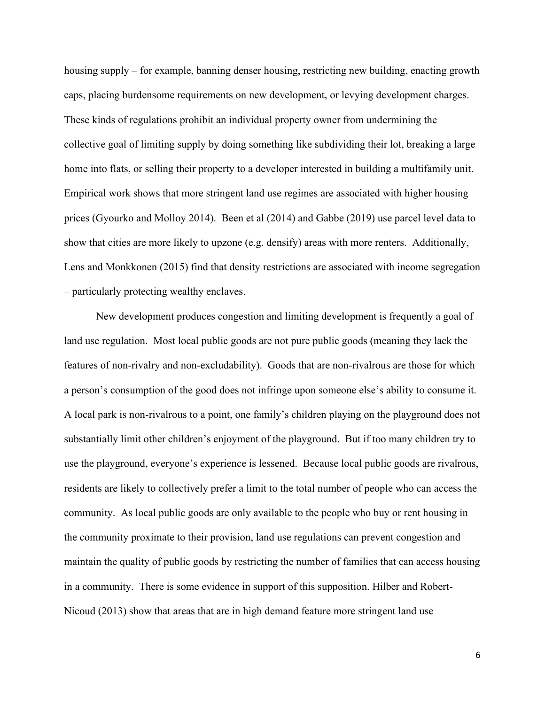housing supply – for example, banning denser housing, restricting new building, enacting growth caps, placing burdensome requirements on new development, or levying development charges. These kinds of regulations prohibit an individual property owner from undermining the collective goal of limiting supply by doing something like subdividing their lot, breaking a large home into flats, or selling their property to a developer interested in building a multifamily unit. Empirical work shows that more stringent land use regimes are associated with higher housing prices (Gyourko and Molloy 2014). Been et al (2014) and Gabbe (2019) use parcel level data to show that cities are more likely to upzone (e.g. densify) areas with more renters. Additionally, Lens and Monkkonen (2015) find that density restrictions are associated with income segregation – particularly protecting wealthy enclaves.

New development produces congestion and limiting development is frequently a goal of land use regulation. Most local public goods are not pure public goods (meaning they lack the features of non-rivalry and non-excludability). Goods that are non-rivalrous are those for which a person's consumption of the good does not infringe upon someone else's ability to consume it. A local park is non-rivalrous to a point, one family's children playing on the playground does not substantially limit other children's enjoyment of the playground. But if too many children try to use the playground, everyone's experience is lessened. Because local public goods are rivalrous, residents are likely to collectively prefer a limit to the total number of people who can access the community. As local public goods are only available to the people who buy or rent housing in the community proximate to their provision, land use regulations can prevent congestion and maintain the quality of public goods by restricting the number of families that can access housing in a community. There is some evidence in support of this supposition. Hilber and Robert-Nicoud (2013) show that areas that are in high demand feature more stringent land use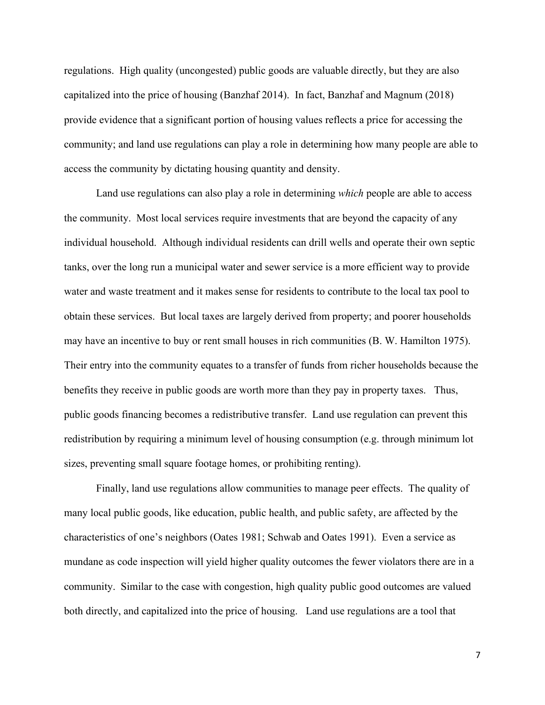regulations. High quality (uncongested) public goods are valuable directly, but they are also capitalized into the price of housing (Banzhaf 2014). In fact, Banzhaf and Magnum (2018) provide evidence that a significant portion of housing values reflects a price for accessing the community; and land use regulations can play a role in determining how many people are able to access the community by dictating housing quantity and density.

Land use regulations can also play a role in determining *which* people are able to access the community. Most local services require investments that are beyond the capacity of any individual household. Although individual residents can drill wells and operate their own septic tanks, over the long run a municipal water and sewer service is a more efficient way to provide water and waste treatment and it makes sense for residents to contribute to the local tax pool to obtain these services. But local taxes are largely derived from property; and poorer households may have an incentive to buy or rent small houses in rich communities (B. W. Hamilton 1975). Their entry into the community equates to a transfer of funds from richer households because the benefits they receive in public goods are worth more than they pay in property taxes. Thus, public goods financing becomes a redistributive transfer. Land use regulation can prevent this redistribution by requiring a minimum level of housing consumption (e.g. through minimum lot sizes, preventing small square footage homes, or prohibiting renting).

Finally, land use regulations allow communities to manage peer effects. The quality of many local public goods, like education, public health, and public safety, are affected by the characteristics of one's neighbors (Oates 1981; Schwab and Oates 1991). Even a service as mundane as code inspection will yield higher quality outcomes the fewer violators there are in a community. Similar to the case with congestion, high quality public good outcomes are valued both directly, and capitalized into the price of housing. Land use regulations are a tool that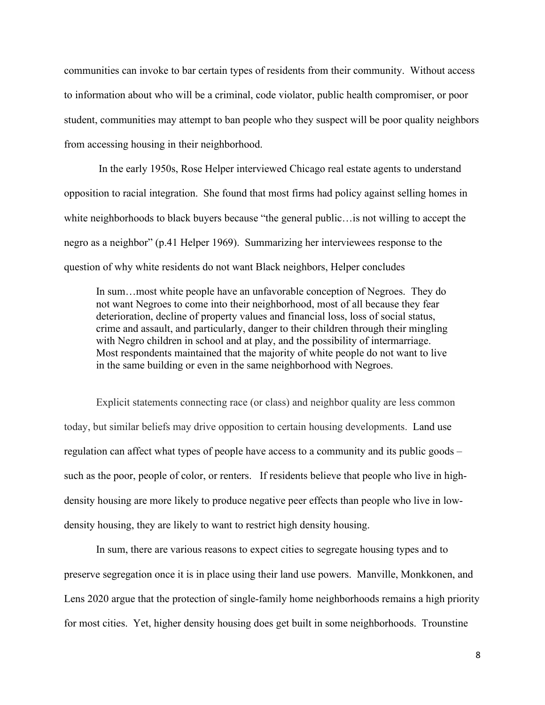communities can invoke to bar certain types of residents from their community. Without access to information about who will be a criminal, code violator, public health compromiser, or poor student, communities may attempt to ban people who they suspect will be poor quality neighbors from accessing housing in their neighborhood.

 In the early 1950s, Rose Helper interviewed Chicago real estate agents to understand opposition to racial integration. She found that most firms had policy against selling homes in white neighborhoods to black buyers because "the general public…is not willing to accept the negro as a neighbor" (p.41 Helper 1969). Summarizing her interviewees response to the question of why white residents do not want Black neighbors, Helper concludes

In sum…most white people have an unfavorable conception of Negroes. They do not want Negroes to come into their neighborhood, most of all because they fear deterioration, decline of property values and financial loss, loss of social status, crime and assault, and particularly, danger to their children through their mingling with Negro children in school and at play, and the possibility of intermarriage. Most respondents maintained that the majority of white people do not want to live in the same building or even in the same neighborhood with Negroes.

Explicit statements connecting race (or class) and neighbor quality are less common today, but similar beliefs may drive opposition to certain housing developments. Land use regulation can affect what types of people have access to a community and its public goods – such as the poor, people of color, or renters. If residents believe that people who live in highdensity housing are more likely to produce negative peer effects than people who live in lowdensity housing, they are likely to want to restrict high density housing.

In sum, there are various reasons to expect cities to segregate housing types and to preserve segregation once it is in place using their land use powers. Manville, Monkkonen, and Lens 2020 argue that the protection of single-family home neighborhoods remains a high priority for most cities. Yet, higher density housing does get built in some neighborhoods. Trounstine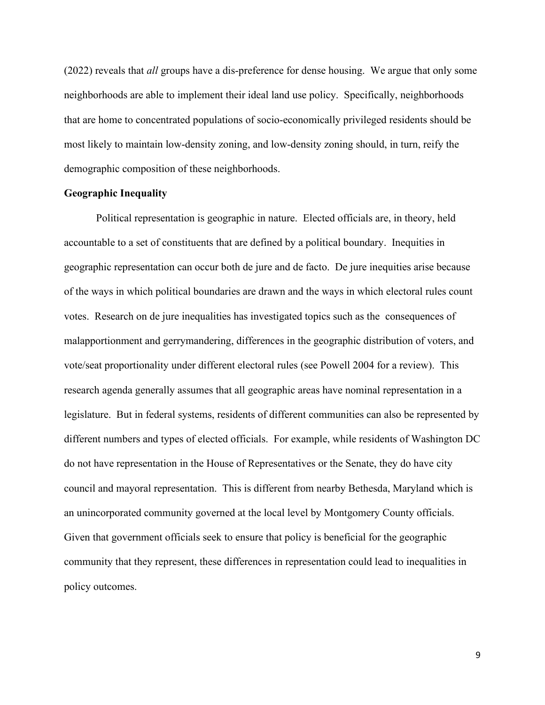(2022) reveals that *all* groups have a dis-preference for dense housing. We argue that only some neighborhoods are able to implement their ideal land use policy. Specifically, neighborhoods that are home to concentrated populations of socio-economically privileged residents should be most likely to maintain low-density zoning, and low-density zoning should, in turn, reify the demographic composition of these neighborhoods.

### **Geographic Inequality**

Political representation is geographic in nature. Elected officials are, in theory, held accountable to a set of constituents that are defined by a political boundary. Inequities in geographic representation can occur both de jure and de facto. De jure inequities arise because of the ways in which political boundaries are drawn and the ways in which electoral rules count votes. Research on de jure inequalities has investigated topics such as the consequences of malapportionment and gerrymandering, differences in the geographic distribution of voters, and vote/seat proportionality under different electoral rules (see Powell 2004 for a review). This research agenda generally assumes that all geographic areas have nominal representation in a legislature. But in federal systems, residents of different communities can also be represented by different numbers and types of elected officials. For example, while residents of Washington DC do not have representation in the House of Representatives or the Senate, they do have city council and mayoral representation. This is different from nearby Bethesda, Maryland which is an unincorporated community governed at the local level by Montgomery County officials. Given that government officials seek to ensure that policy is beneficial for the geographic community that they represent, these differences in representation could lead to inequalities in policy outcomes.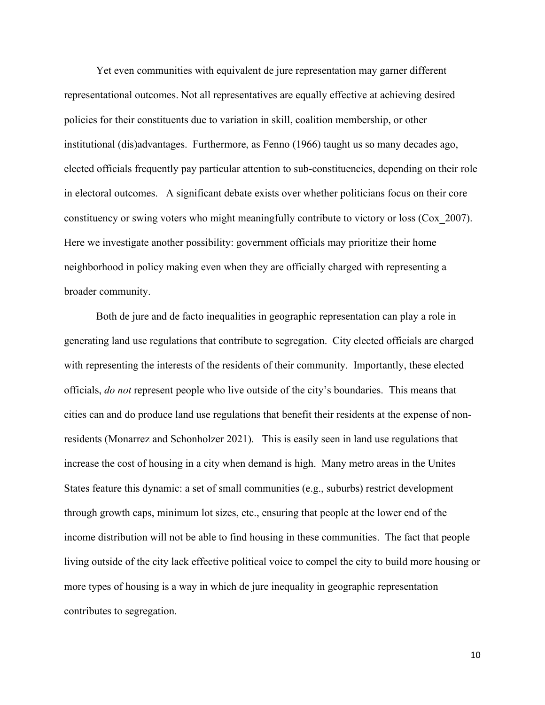Yet even communities with equivalent de jure representation may garner different representational outcomes. Not all representatives are equally effective at achieving desired policies for their constituents due to variation in skill, coalition membership, or other institutional (dis)advantages. Furthermore, as Fenno (1966) taught us so many decades ago, elected officials frequently pay particular attention to sub-constituencies, depending on their role in electoral outcomes. A significant debate exists over whether politicians focus on their core constituency or swing voters who might meaningfully contribute to victory or loss (Cox\_2007). Here we investigate another possibility: government officials may prioritize their home neighborhood in policy making even when they are officially charged with representing a broader community.

Both de jure and de facto inequalities in geographic representation can play a role in generating land use regulations that contribute to segregation. City elected officials are charged with representing the interests of the residents of their community. Importantly, these elected officials, *do not* represent people who live outside of the city's boundaries. This means that cities can and do produce land use regulations that benefit their residents at the expense of nonresidents (Monarrez and Schonholzer 2021). This is easily seen in land use regulations that increase the cost of housing in a city when demand is high. Many metro areas in the Unites States feature this dynamic: a set of small communities (e.g., suburbs) restrict development through growth caps, minimum lot sizes, etc., ensuring that people at the lower end of the income distribution will not be able to find housing in these communities. The fact that people living outside of the city lack effective political voice to compel the city to build more housing or more types of housing is a way in which de jure inequality in geographic representation contributes to segregation.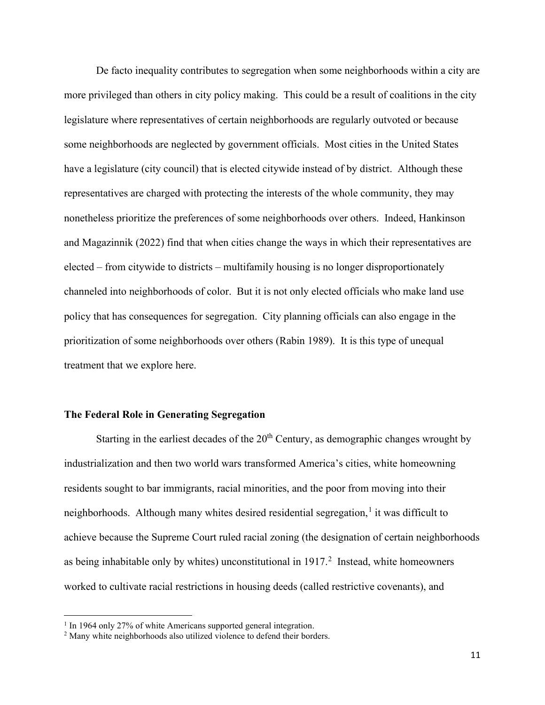De facto inequality contributes to segregation when some neighborhoods within a city are more privileged than others in city policy making. This could be a result of coalitions in the city legislature where representatives of certain neighborhoods are regularly outvoted or because some neighborhoods are neglected by government officials. Most cities in the United States have a legislature (city council) that is elected citywide instead of by district. Although these representatives are charged with protecting the interests of the whole community, they may nonetheless prioritize the preferences of some neighborhoods over others. Indeed, Hankinson and Magazinnik (2022) find that when cities change the ways in which their representatives are elected – from citywide to districts – multifamily housing is no longer disproportionately channeled into neighborhoods of color. But it is not only elected officials who make land use policy that has consequences for segregation. City planning officials can also engage in the prioritization of some neighborhoods over others (Rabin 1989). It is this type of unequal treatment that we explore here.

### **The Federal Role in Generating Segregation**

Starting in the earliest decades of the  $20<sup>th</sup>$  Century, as demographic changes wrought by industrialization and then two world wars transformed America's cities, white homeowning residents sought to bar immigrants, racial minorities, and the poor from moving into their neighborhoods. Although many whites desired residential segregation,<sup>[1](#page-10-0)</sup> it was difficult to achieve because the Supreme Court ruled racial zoning (the designation of certain neighborhoods as being inhabitable only by whites) unconstitutional in  $1917<sup>2</sup>$  $1917<sup>2</sup>$  $1917<sup>2</sup>$  Instead, white homeowners worked to cultivate racial restrictions in housing deeds (called restrictive covenants), and

<span id="page-10-0"></span><sup>&</sup>lt;sup>1</sup> In 1964 only 27% of white Americans supported general integration.

<span id="page-10-1"></span><sup>&</sup>lt;sup>2</sup> Many white neighborhoods also utilized violence to defend their borders.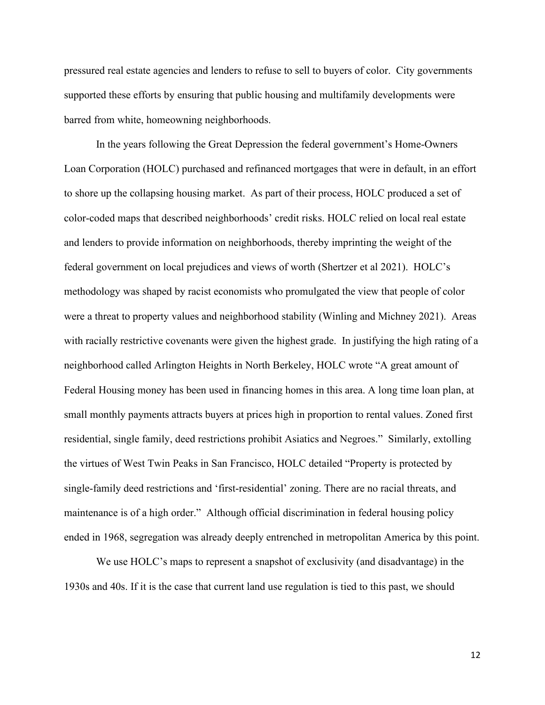pressured real estate agencies and lenders to refuse to sell to buyers of color. City governments supported these efforts by ensuring that public housing and multifamily developments were barred from white, homeowning neighborhoods.

In the years following the Great Depression the federal government's Home-Owners Loan Corporation (HOLC) purchased and refinanced mortgages that were in default, in an effort to shore up the collapsing housing market. As part of their process, HOLC produced a set of color-coded maps that described neighborhoods' credit risks. HOLC relied on local real estate and lenders to provide information on neighborhoods, thereby imprinting the weight of the federal government on local prejudices and views of worth (Shertzer et al 2021). HOLC's methodology was shaped by racist economists who promulgated the view that people of color were a threat to property values and neighborhood stability (Winling and Michney 2021). Areas with racially restrictive covenants were given the highest grade. In justifying the high rating of a neighborhood called Arlington Heights in North Berkeley, HOLC wrote "A great amount of Federal Housing money has been used in financing homes in this area. A long time loan plan, at small monthly payments attracts buyers at prices high in proportion to rental values. Zoned first residential, single family, deed restrictions prohibit Asiatics and Negroes." Similarly, extolling the virtues of West Twin Peaks in San Francisco, HOLC detailed "Property is protected by single-family deed restrictions and 'first-residential' zoning. There are no racial threats, and maintenance is of a high order." Although official discrimination in federal housing policy ended in 1968, segregation was already deeply entrenched in metropolitan America by this point.

We use HOLC's maps to represent a snapshot of exclusivity (and disadvantage) in the 1930s and 40s. If it is the case that current land use regulation is tied to this past, we should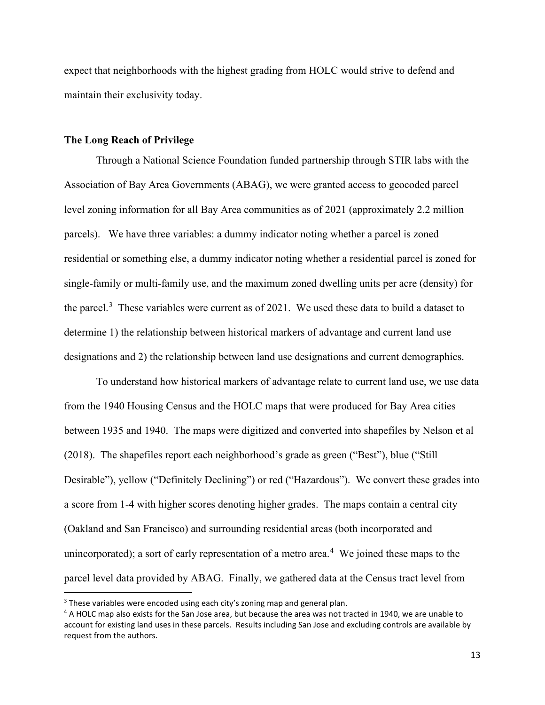expect that neighborhoods with the highest grading from HOLC would strive to defend and maintain their exclusivity today.

#### **The Long Reach of Privilege**

Through a National Science Foundation funded partnership through STIR labs with the Association of Bay Area Governments (ABAG), we were granted access to geocoded parcel level zoning information for all Bay Area communities as of 2021 (approximately 2.2 million parcels). We have three variables: a dummy indicator noting whether a parcel is zoned residential or something else, a dummy indicator noting whether a residential parcel is zoned for single-family or multi-family use, and the maximum zoned dwelling units per acre (density) for the parcel.<sup>[3](#page-12-0)</sup> These variables were current as of 2021. We used these data to build a dataset to determine 1) the relationship between historical markers of advantage and current land use designations and 2) the relationship between land use designations and current demographics.

To understand how historical markers of advantage relate to current land use, we use data from the 1940 Housing Census and the HOLC maps that were produced for Bay Area cities between 1935 and 1940. The maps were digitized and converted into shapefiles by Nelson et al (2018). The shapefiles report each neighborhood's grade as green ("Best"), blue ("Still Desirable"), yellow ("Definitely Declining") or red ("Hazardous"). We convert these grades into a score from 1-4 with higher scores denoting higher grades. The maps contain a central city (Oakland and San Francisco) and surrounding residential areas (both incorporated and unincorporated); a sort of early representation of a metro area.<sup>[4](#page-12-1)</sup> We joined these maps to the parcel level data provided by ABAG. Finally, we gathered data at the Census tract level from

<span id="page-12-0"></span><sup>&</sup>lt;sup>3</sup> These variables were encoded using each city's zoning map and general plan.

<span id="page-12-1"></span><sup>&</sup>lt;sup>4</sup> A HOLC map also exists for the San Jose area, but because the area was not tracted in 1940, we are unable to account for existing land uses in these parcels. Results including San Jose and excluding controls are available by request from the authors.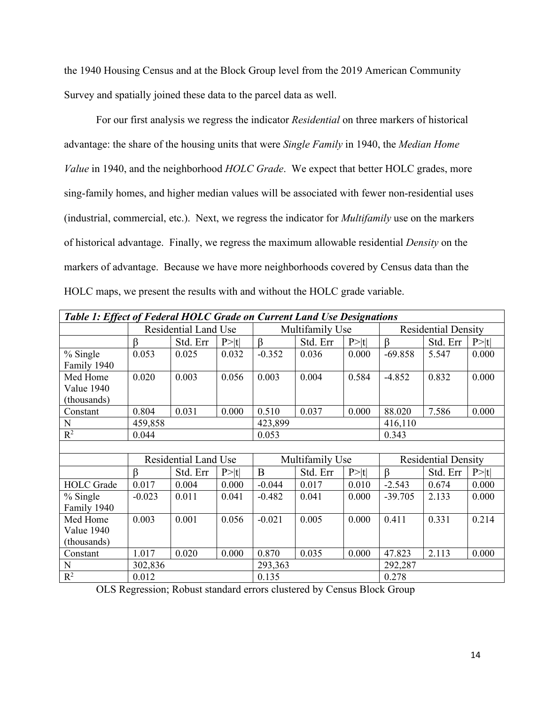the 1940 Housing Census and at the Block Group level from the 2019 American Community Survey and spatially joined these data to the parcel data as well.

For our first analysis we regress the indicator *Residential* on three markers of historical advantage: the share of the housing units that were *Single Family* in 1940, the *Median Home Value* in 1940, and the neighborhood *HOLC Grade*. We expect that better HOLC grades, more sing-family homes, and higher median values will be associated with fewer non-residential uses (industrial, commercial, etc.). Next, we regress the indicator for *Multifamily* use on the markers of historical advantage. Finally, we regress the maximum allowable residential *Density* on the markers of advantage. Because we have more neighborhoods covered by Census data than the HOLC maps, we present the results with and without the HOLC grade variable.

| Table 1: Effect of Federal HOLC Grade on Current Land Use Designations |          |                             |        |                 |                 |        |                            |                            |        |  |  |
|------------------------------------------------------------------------|----------|-----------------------------|--------|-----------------|-----------------|--------|----------------------------|----------------------------|--------|--|--|
|                                                                        |          | <b>Residential Land Use</b> |        |                 | Multifamily Use |        |                            | <b>Residential Density</b> |        |  |  |
|                                                                        | ß        | Std. Err                    | P> t   | $\beta$         | Std. Err        | P >  t | $\beta$                    | Std. Err                   | P> t   |  |  |
| % Single                                                               | 0.053    | 0.025                       | 0.032  | $-0.352$        | 0.036           | 0.000  | $-69.858$                  | 5.547                      | 0.000  |  |  |
| Family 1940                                                            |          |                             |        |                 |                 |        |                            |                            |        |  |  |
| Med Home                                                               | 0.020    | 0.003                       | 0.056  | 0.003           | 0.004           | 0.584  | $-4.852$                   | 0.832                      | 0.000  |  |  |
| Value 1940                                                             |          |                             |        |                 |                 |        |                            |                            |        |  |  |
| (thousands)                                                            |          |                             |        |                 |                 |        |                            |                            |        |  |  |
| Constant                                                               | 0.804    | 0.031                       | 0.000  | 0.510           | 0.037           | 0.000  | 88.020                     | 7.586                      | 0.000  |  |  |
| N                                                                      | 459,858  |                             |        | 423,899         |                 |        |                            | 416,110                    |        |  |  |
| $\mathbb{R}^2$                                                         | 0.044    |                             |        | 0.053           |                 |        | 0.343                      |                            |        |  |  |
|                                                                        |          |                             |        |                 |                 |        |                            |                            |        |  |  |
|                                                                        |          | Residential Land Use        |        | Multifamily Use |                 |        | <b>Residential Density</b> |                            |        |  |  |
|                                                                        | $\beta$  | Std. Err                    | P >  t | B               | Std. Err        | P >  t | $\beta$                    | Std. Err                   | P >  t |  |  |
| <b>HOLC</b> Grade                                                      | 0.017    | 0.004                       | 0.000  | $-0.044$        | 0.017           | 0.010  | $-2.543$                   | 0.674                      | 0.000  |  |  |
| % Single                                                               | $-0.023$ | 0.011                       | 0.041  | $-0.482$        | 0.041           | 0.000  | $-39.705$                  | 2.133                      | 0.000  |  |  |
| Family 1940                                                            |          |                             |        |                 |                 |        |                            |                            |        |  |  |
| Med Home                                                               | 0.003    | 0.001                       | 0.056  | $-0.021$        | 0.005           | 0.000  | 0.411                      | 0.331                      | 0.214  |  |  |
| Value 1940                                                             |          |                             |        |                 |                 |        |                            |                            |        |  |  |
| (thousands)                                                            |          |                             |        |                 |                 |        |                            |                            |        |  |  |
| Constant                                                               | 1.017    | 0.020                       | 0.000  | 0.870           | 0.035           | 0.000  | 47.823                     | 2.113                      | 0.000  |  |  |
| N                                                                      | 302,836  |                             |        | 293,363         |                 |        |                            | 292,287                    |        |  |  |
| $R^2$                                                                  | 0.012    |                             |        | 0.135           |                 |        | 0.278                      |                            |        |  |  |

OLS Regression; Robust standard errors clustered by Census Block Group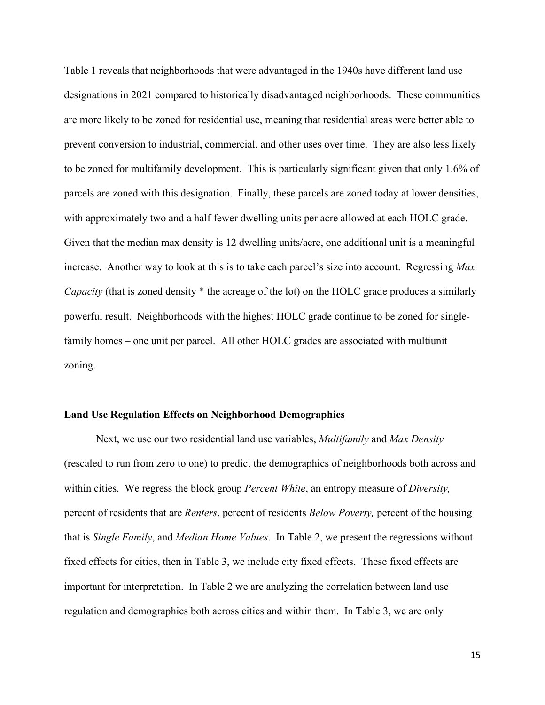Table 1 reveals that neighborhoods that were advantaged in the 1940s have different land use designations in 2021 compared to historically disadvantaged neighborhoods. These communities are more likely to be zoned for residential use, meaning that residential areas were better able to prevent conversion to industrial, commercial, and other uses over time. They are also less likely to be zoned for multifamily development. This is particularly significant given that only 1.6% of parcels are zoned with this designation. Finally, these parcels are zoned today at lower densities, with approximately two and a half fewer dwelling units per acre allowed at each HOLC grade. Given that the median max density is 12 dwelling units/acre, one additional unit is a meaningful increase. Another way to look at this is to take each parcel's size into account. Regressing *Max Capacity* (that is zoned density \* the acreage of the lot) on the HOLC grade produces a similarly powerful result. Neighborhoods with the highest HOLC grade continue to be zoned for singlefamily homes – one unit per parcel. All other HOLC grades are associated with multiunit zoning.

#### **Land Use Regulation Effects on Neighborhood Demographics**

Next, we use our two residential land use variables, *Multifamily* and *Max Density* (rescaled to run from zero to one) to predict the demographics of neighborhoods both across and within cities. We regress the block group *Percent White*, an entropy measure of *Diversity,* percent of residents that are *Renters*, percent of residents *Below Poverty,* percent of the housing that is *Single Family*, and *Median Home Values*. In Table 2, we present the regressions without fixed effects for cities, then in Table 3, we include city fixed effects. These fixed effects are important for interpretation. In Table 2 we are analyzing the correlation between land use regulation and demographics both across cities and within them. In Table 3, we are only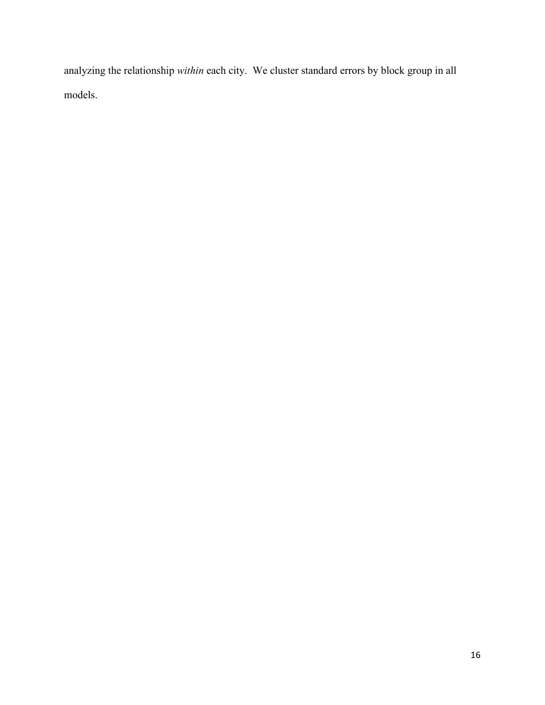analyzing the relationship *within* each city. We cluster standard errors by block group in all models.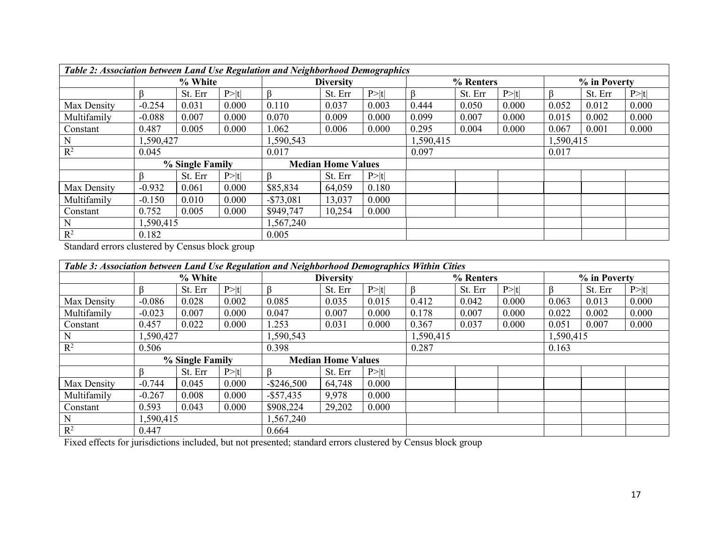| Table 2: Association between Land Use Regulation and Neighborhood Demographics |                        |         |        |                           |                  |        |           |           |        |              |         |        |
|--------------------------------------------------------------------------------|------------------------|---------|--------|---------------------------|------------------|--------|-----------|-----------|--------|--------------|---------|--------|
|                                                                                | % White                |         |        |                           | <b>Diversity</b> |        | % Renters |           |        | % in Poverty |         |        |
|                                                                                |                        | St. Err | P >  t |                           | St. Err          | P >  t |           | St. Err   | P >  t |              | St. Err | P >  t |
| Max Density                                                                    | $-0.254$               | 0.031   | 0.000  | 0.110                     | 0.037            | 0.003  | 0.444     | 0.050     | 0.000  | 0.052        | 0.012   | 0.000  |
| Multifamily                                                                    | $-0.088$               | 0.007   | 0.000  | 0.070                     | 0.009            | 0.000  | 0.099     | 0.007     | 0.000  | 0.015        | 0.002   | 0.000  |
| Constant                                                                       | 0.487                  | 0.005   | 0.000  | 1.062                     | 0.006            | 0.000  | 0.295     | 0.004     | 0.000  | 0.067        | 0.001   | 0.000  |
| N                                                                              | 1,590,427<br>1,590,543 |         |        |                           | 1,590,415        |        |           | 1,590,415 |        |              |         |        |
| $R^2$                                                                          | 0.045                  |         |        | 0.017                     |                  |        | 0.097     |           |        | 0.017        |         |        |
|                                                                                | % Single Family        |         |        | <b>Median Home Values</b> |                  |        |           |           |        |              |         |        |
|                                                                                |                        | St. Err | P >  t |                           | St. Err          | P >  t |           |           |        |              |         |        |
| Max Density                                                                    | $-0.932$               | 0.061   | 0.000  | \$85,834                  | 64,059           | 0.180  |           |           |        |              |         |        |
| Multifamily                                                                    | $-0.150$               | 0.010   | 0.000  | $- $73,081$               | 13,037           | 0.000  |           |           |        |              |         |        |
| Constant                                                                       | 0.752                  | 0.005   | 0.000  | \$949,747                 | 10,254           | 0.000  |           |           |        |              |         |        |
| N                                                                              | 1,590,415<br>1,567,240 |         |        |                           |                  |        |           |           |        |              |         |        |
| $R^2$                                                                          | 0.182                  |         |        | 0.005                     |                  |        |           |           |        |              |         |        |

Standard errors clustered by Census block group

| Table 3: Association between Land Use Regulation and Neighborhood Demographics Within Cities |                 |         |                  |                           |           |        |           |              |       |           |         |        |  |
|----------------------------------------------------------------------------------------------|-----------------|---------|------------------|---------------------------|-----------|--------|-----------|--------------|-------|-----------|---------|--------|--|
|                                                                                              | % White         |         | <b>Diversity</b> |                           | % Renters |        |           | % in Poverty |       |           |         |        |  |
|                                                                                              |                 | St. Err | P >  t           |                           | St. Err   | P >  t |           | St. Err      | P> t  |           | St. Err | P >  t |  |
| Max Density                                                                                  | $-0.086$        | 0.028   | 0.002            | 0.085                     | 0.035     | 0.015  | 0.412     | 0.042        | 0.000 | 0.063     | 0.013   | 0.000  |  |
| Multifamily                                                                                  | $-0.023$        | 0.007   | 0.000            | 0.047                     | 0.007     | 0.000  | 0.178     | 0.007        | 0.000 | 0.022     | 0.002   | 0.000  |  |
| Constant                                                                                     | 0.457           | 0.022   | 0.000            | 1.253                     | 0.031     | 0.000  | 0.367     | 0.037        | 0.000 | 0.051     | 0.007   | 0.000  |  |
| N                                                                                            | 1,590,427       |         | 1,590,543        |                           |           |        | 1,590,415 |              |       | 1,590,415 |         |        |  |
| $R^2$                                                                                        | 0.506           |         |                  | 0.398                     |           |        |           | 0.287        |       |           | 0.163   |        |  |
|                                                                                              | % Single Family |         |                  | <b>Median Home Values</b> |           |        |           |              |       |           |         |        |  |
|                                                                                              | R               | St. Err | P >  t           |                           | St. Err   | P >  t |           |              |       |           |         |        |  |
| Max Density                                                                                  | $-0.744$        | 0.045   | 0.000            | $-$ \$246,500             | 64,748    | 0.000  |           |              |       |           |         |        |  |
| Multifamily                                                                                  | $-0.267$        | 0.008   | 0.000            | $-$ \$57,435              | 9,978     | 0.000  |           |              |       |           |         |        |  |
| Constant                                                                                     | 0.593           | 0.043   | 0.000            | \$908,224                 | 29,202    | 0.000  |           |              |       |           |         |        |  |
| N                                                                                            | 1,590,415       |         | 1,567,240        |                           |           |        |           |              |       |           |         |        |  |
| $R^2$                                                                                        | 0.447           |         |                  | 0.664                     |           |        |           |              |       |           |         |        |  |

Fixed effects for jurisdictions included, but not presented; standard errors clustered by Census block group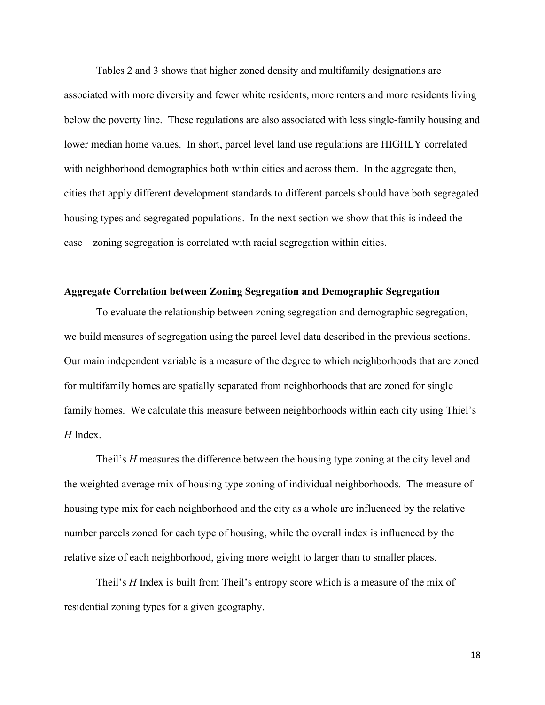Tables 2 and 3 shows that higher zoned density and multifamily designations are associated with more diversity and fewer white residents, more renters and more residents living below the poverty line. These regulations are also associated with less single-family housing and lower median home values. In short, parcel level land use regulations are HIGHLY correlated with neighborhood demographics both within cities and across them. In the aggregate then, cities that apply different development standards to different parcels should have both segregated housing types and segregated populations. In the next section we show that this is indeed the case – zoning segregation is correlated with racial segregation within cities.

## **Aggregate Correlation between Zoning Segregation and Demographic Segregation**

To evaluate the relationship between zoning segregation and demographic segregation, we build measures of segregation using the parcel level data described in the previous sections. Our main independent variable is a measure of the degree to which neighborhoods that are zoned for multifamily homes are spatially separated from neighborhoods that are zoned for single family homes. We calculate this measure between neighborhoods within each city using Thiel's *H* Index.

Theil's *H* measures the difference between the housing type zoning at the city level and the weighted average mix of housing type zoning of individual neighborhoods. The measure of housing type mix for each neighborhood and the city as a whole are influenced by the relative number parcels zoned for each type of housing, while the overall index is influenced by the relative size of each neighborhood, giving more weight to larger than to smaller places.

Theil's *H* Index is built from Theil's entropy score which is a measure of the mix of residential zoning types for a given geography.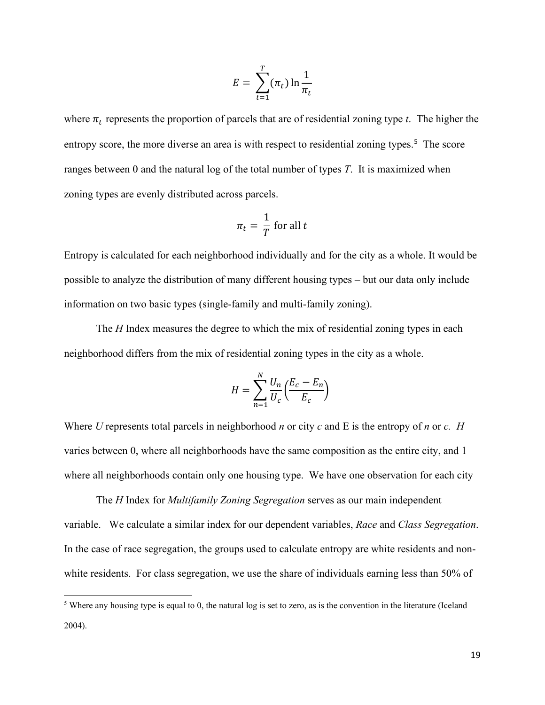$$
E = \sum_{t=1}^{T} (\pi_t) \ln \frac{1}{\pi_t}
$$

where  $\pi_t$  represents the proportion of parcels that are of residential zoning type *t*. The higher the entropy score, the more diverse an area is with respect to residential zoning types.<sup>[5](#page-18-0)</sup> The score ranges between 0 and the natural log of the total number of types *T*. It is maximized when zoning types are evenly distributed across parcels.

$$
\pi_t = \frac{1}{T} \text{ for all } t
$$

Entropy is calculated for each neighborhood individually and for the city as a whole. It would be possible to analyze the distribution of many different housing types – but our data only include information on two basic types (single-family and multi-family zoning).

The *H* Index measures the degree to which the mix of residential zoning types in each neighborhood differs from the mix of residential zoning types in the city as a whole.

$$
H = \sum_{n=1}^{N} \frac{U_n}{U_c} \left( \frac{E_c - E_n}{E_c} \right)
$$

Where *U* represents total parcels in neighborhood *n* or city *c* and E is the entropy of *n* or *c. H* varies between 0, where all neighborhoods have the same composition as the entire city, and 1 where all neighborhoods contain only one housing type. We have one observation for each city

The *H* Index for *Multifamily Zoning Segregation* serves as our main independent variable. We calculate a similar index for our dependent variables, *Race* and *Class Segregation*. In the case of race segregation, the groups used to calculate entropy are white residents and nonwhite residents. For class segregation, we use the share of individuals earning less than 50% of

<span id="page-18-0"></span><sup>&</sup>lt;sup>5</sup> Where any housing type is equal to 0, the natural log is set to zero, as is the convention in the literature (Iceland 2004).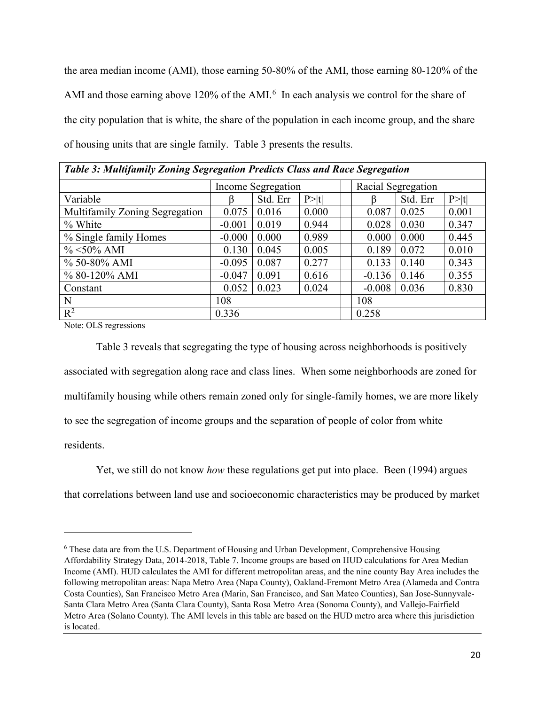the area median income (AMI), those earning 50-80% of the AMI, those earning 80-120% of the AMI and those earning above 120% of the AMI. $<sup>6</sup>$  $<sup>6</sup>$  $<sup>6</sup>$  In each analysis we control for the share of</sup> the city population that is white, the share of the population in each income group, and the share of housing units that are single family. Table 3 presents the results.

| Table 5: Multifamily Zoning Segregation Predicts Class and Kace Segregation |          |                    |        |          |                    |        |  |  |  |
|-----------------------------------------------------------------------------|----------|--------------------|--------|----------|--------------------|--------|--|--|--|
|                                                                             |          | Income Segregation |        |          | Racial Segregation |        |  |  |  |
| Variable                                                                    |          | Std. Err           | P >  t |          | Std. Err           | P >  t |  |  |  |
| Multifamily Zoning Segregation                                              | 0.075    | 0.016              | 0.000  | 0.087    | 0.025              | 0.001  |  |  |  |
| % White                                                                     | $-0.001$ | 0.019              | 0.944  | 0.028    | 0.030              | 0.347  |  |  |  |
| % Single family Homes                                                       | $-0.000$ | 0.000              | 0.989  | 0.000    | 0.000              | 0.445  |  |  |  |
| $\% < 50\%$ AMI                                                             | 0.130    | 0.045              | 0.005  | 0.189    | 0.072              | 0.010  |  |  |  |
| % 50-80% AMI                                                                | $-0.095$ | 0.087              | 0.277  | 0.133    | 0.140              | 0.343  |  |  |  |
| % 80-120% AMI                                                               | $-0.047$ | 0.091              | 0.616  | $-0.136$ | 0.146              | 0.355  |  |  |  |
| Constant                                                                    | 0.052    | 0.023              | 0.024  | $-0.008$ | 0.036              | 0.830  |  |  |  |
| N                                                                           | 108      |                    |        | 108      |                    |        |  |  |  |
| $R^2$                                                                       | 0.336    |                    |        | 0.258    |                    |        |  |  |  |

*Table 3: Multifamily Zoning Segregation Predicts Class and Race Segregation* 

Note: OLS regressions

 Table 3 reveals that segregating the type of housing across neighborhoods is positively associated with segregation along race and class lines. When some neighborhoods are zoned for multifamily housing while others remain zoned only for single-family homes, we are more likely to see the segregation of income groups and the separation of people of color from white residents.

Yet, we still do not know *how* these regulations get put into place. Been (1994) argues

that correlations between land use and socioeconomic characteristics may be produced by market

<span id="page-19-0"></span><sup>6</sup> These data are from the U.S. Department of Housing and Urban Development, Comprehensive Housing Affordability Strategy Data, 2014-2018, Table 7. Income groups are based on HUD calculations for Area Median Income (AMI). HUD calculates the AMI for different metropolitan areas, and the nine county Bay Area includes the following metropolitan areas: Napa Metro Area (Napa County), Oakland-Fremont Metro Area (Alameda and Contra Costa Counties), San Francisco Metro Area (Marin, San Francisco, and San Mateo Counties), San Jose-Sunnyvale-Santa Clara Metro Area (Santa Clara County), Santa Rosa Metro Area (Sonoma County), and Vallejo-Fairfield Metro Area (Solano County). The AMI levels in this table are based on the HUD metro area where this jurisdiction is located.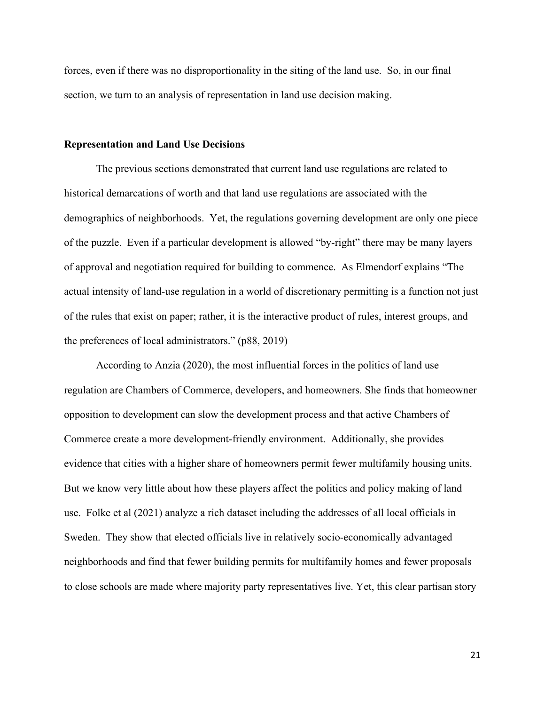forces, even if there was no disproportionality in the siting of the land use. So, in our final section, we turn to an analysis of representation in land use decision making.

#### **Representation and Land Use Decisions**

The previous sections demonstrated that current land use regulations are related to historical demarcations of worth and that land use regulations are associated with the demographics of neighborhoods. Yet, the regulations governing development are only one piece of the puzzle. Even if a particular development is allowed "by-right" there may be many layers of approval and negotiation required for building to commence. As Elmendorf explains "The actual intensity of land-use regulation in a world of discretionary permitting is a function not just of the rules that exist on paper; rather, it is the interactive product of rules, interest groups, and the preferences of local administrators." (p88, 2019)

According to Anzia (2020), the most influential forces in the politics of land use regulation are Chambers of Commerce, developers, and homeowners. She finds that homeowner opposition to development can slow the development process and that active Chambers of Commerce create a more development-friendly environment. Additionally, she provides evidence that cities with a higher share of homeowners permit fewer multifamily housing units. But we know very little about how these players affect the politics and policy making of land use. Folke et al (2021) analyze a rich dataset including the addresses of all local officials in Sweden. They show that elected officials live in relatively socio-economically advantaged neighborhoods and find that fewer building permits for multifamily homes and fewer proposals to close schools are made where majority party representatives live. Yet, this clear partisan story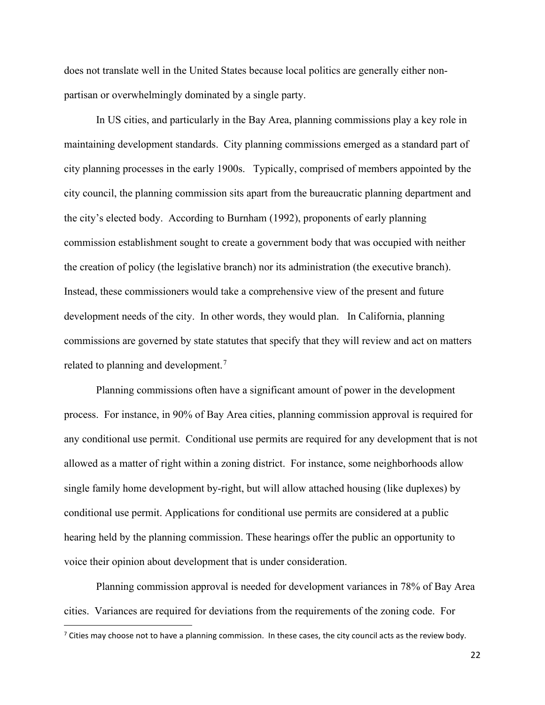does not translate well in the United States because local politics are generally either nonpartisan or overwhelmingly dominated by a single party.

In US cities, and particularly in the Bay Area, planning commissions play a key role in maintaining development standards. City planning commissions emerged as a standard part of city planning processes in the early 1900s. Typically, comprised of members appointed by the city council, the planning commission sits apart from the bureaucratic planning department and the city's elected body. According to Burnham (1992), proponents of early planning commission establishment sought to create a government body that was occupied with neither the creation of policy (the legislative branch) nor its administration (the executive branch). Instead, these commissioners would take a comprehensive view of the present and future development needs of the city. In other words, they would plan. In California, planning commissions are governed by state statutes that specify that they will review and act on matters related to planning and development.<sup>[7](#page-21-0)</sup>

Planning commissions often have a significant amount of power in the development process. For instance, in 90% of Bay Area cities, planning commission approval is required for any conditional use permit. Conditional use permits are required for any development that is not allowed as a matter of right within a zoning district. For instance, some neighborhoods allow single family home development by-right, but will allow attached housing (like duplexes) by conditional use permit. Applications for conditional use permits are considered at a public hearing held by the planning commission. These hearings offer the public an opportunity to voice their opinion about development that is under consideration.

Planning commission approval is needed for development variances in 78% of Bay Area cities. Variances are required for deviations from the requirements of the zoning code. For

<span id="page-21-0"></span> $^7$  Cities may choose not to have a planning commission. In these cases, the city council acts as the review body.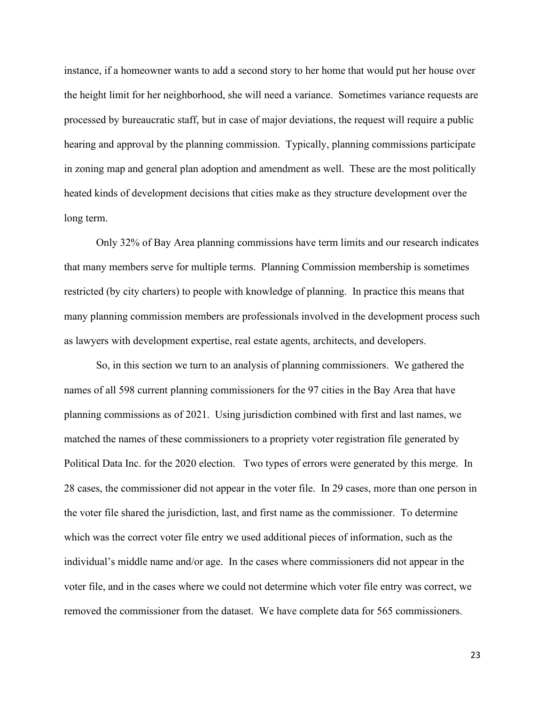instance, if a homeowner wants to add a second story to her home that would put her house over the height limit for her neighborhood, she will need a variance. Sometimes variance requests are processed by bureaucratic staff, but in case of major deviations, the request will require a public hearing and approval by the planning commission. Typically, planning commissions participate in zoning map and general plan adoption and amendment as well. These are the most politically heated kinds of development decisions that cities make as they structure development over the long term.

Only 32% of Bay Area planning commissions have term limits and our research indicates that many members serve for multiple terms. Planning Commission membership is sometimes restricted (by city charters) to people with knowledge of planning. In practice this means that many planning commission members are professionals involved in the development process such as lawyers with development expertise, real estate agents, architects, and developers.

So, in this section we turn to an analysis of planning commissioners. We gathered the names of all 598 current planning commissioners for the 97 cities in the Bay Area that have planning commissions as of 2021. Using jurisdiction combined with first and last names, we matched the names of these commissioners to a propriety voter registration file generated by Political Data Inc. for the 2020 election. Two types of errors were generated by this merge. In 28 cases, the commissioner did not appear in the voter file. In 29 cases, more than one person in the voter file shared the jurisdiction, last, and first name as the commissioner. To determine which was the correct voter file entry we used additional pieces of information, such as the individual's middle name and/or age. In the cases where commissioners did not appear in the voter file, and in the cases where we could not determine which voter file entry was correct, we removed the commissioner from the dataset. We have complete data for 565 commissioners.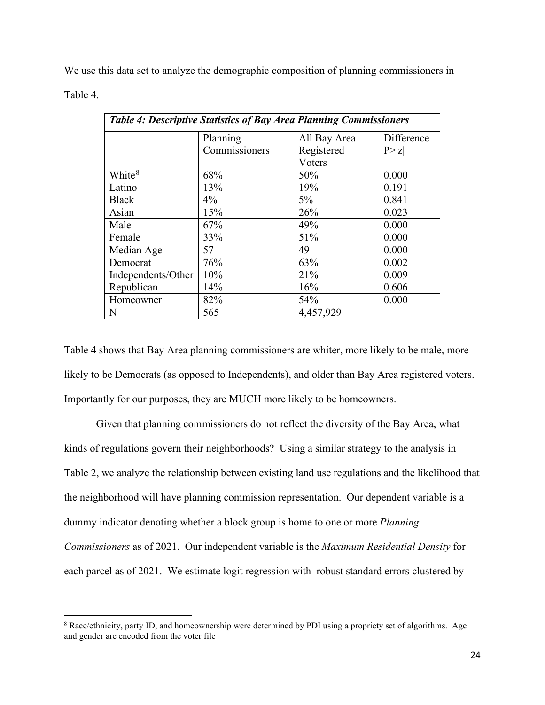We use this data set to analyze the demographic composition of planning commissioners in

Table 4.

| <b>Table 4: Descriptive Statistics of Bay Area Planning Commissioners</b> |               |              |            |  |  |  |  |  |
|---------------------------------------------------------------------------|---------------|--------------|------------|--|--|--|--|--|
|                                                                           | Planning      | All Bay Area | Difference |  |  |  |  |  |
|                                                                           | Commissioners | Registered   | P >  Z     |  |  |  |  |  |
|                                                                           |               | Voters       |            |  |  |  |  |  |
| White <sup>8</sup>                                                        | 68%           | 50%          | 0.000      |  |  |  |  |  |
| Latino                                                                    | 13%           | 19%          | 0.191      |  |  |  |  |  |
| <b>Black</b>                                                              | $4\%$         | $5\%$        | 0.841      |  |  |  |  |  |
| Asian                                                                     | 15%           | 26%          | 0.023      |  |  |  |  |  |
| Male                                                                      | 67%           | 49%          | 0.000      |  |  |  |  |  |
| Female                                                                    | 33%           | 51%          | 0.000      |  |  |  |  |  |
| Median Age                                                                | 57            | 49           | 0.000      |  |  |  |  |  |
| Democrat                                                                  | 76%           | 63%          | 0.002      |  |  |  |  |  |
| Independents/Other                                                        | 10%           | 21%          | 0.009      |  |  |  |  |  |
| Republican                                                                | 14%           | 16%          | 0.606      |  |  |  |  |  |
| Homeowner                                                                 | 82%           | 54%          | 0.000      |  |  |  |  |  |
| N                                                                         | 565           | 4,457,929    |            |  |  |  |  |  |

Table 4 shows that Bay Area planning commissioners are whiter, more likely to be male, more likely to be Democrats (as opposed to Independents), and older than Bay Area registered voters. Importantly for our purposes, they are MUCH more likely to be homeowners.

Given that planning commissioners do not reflect the diversity of the Bay Area, what kinds of regulations govern their neighborhoods? Using a similar strategy to the analysis in Table 2, we analyze the relationship between existing land use regulations and the likelihood that the neighborhood will have planning commission representation. Our dependent variable is a dummy indicator denoting whether a block group is home to one or more *Planning Commissioners* as of 2021. Our independent variable is the *Maximum Residential Density* for each parcel as of 2021. We estimate logit regression with robust standard errors clustered by

<span id="page-23-0"></span><sup>8</sup> Race/ethnicity, party ID, and homeownership were determined by PDI using a propriety set of algorithms. Age and gender are encoded from the voter file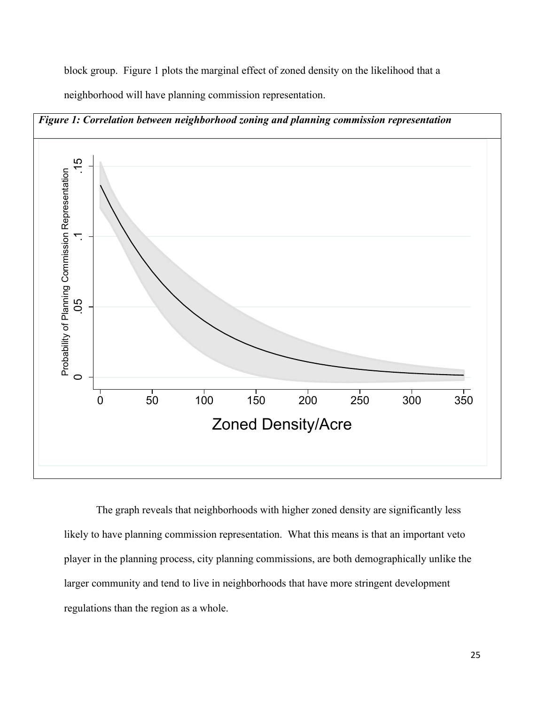block group. Figure 1 plots the marginal effect of zoned density on the likelihood that a

neighborhood will have planning commission representation.



The graph reveals that neighborhoods with higher zoned density are significantly less likely to have planning commission representation. What this means is that an important veto player in the planning process, city planning commissions, are both demographically unlike the larger community and tend to live in neighborhoods that have more stringent development regulations than the region as a whole.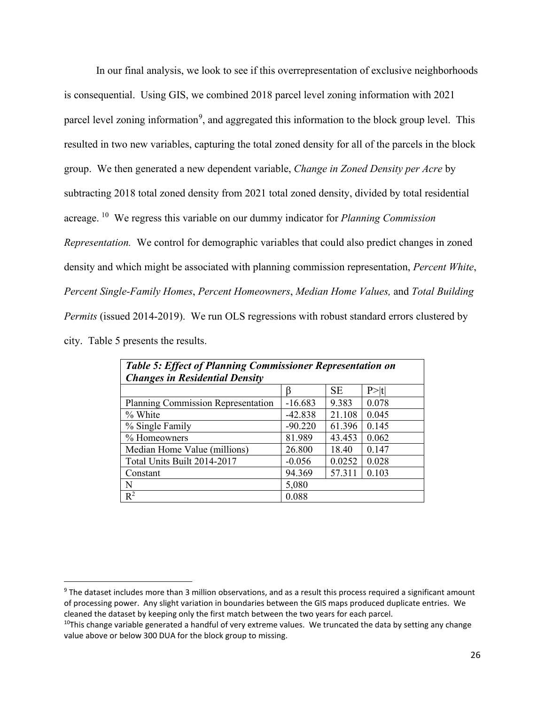In our final analysis, we look to see if this overrepresentation of exclusive neighborhoods is consequential. Using GIS, we combined 2018 parcel level zoning information with 2021 parcel level zoning information<sup>[9](#page-25-0)</sup>, and aggregated this information to the block group level. This resulted in two new variables, capturing the total zoned density for all of the parcels in the block group. We then generated a new dependent variable, *Change in Zoned Density per Acre* by subtracting 2018 total zoned density from 2021 total zoned density, divided by total residential acreage. [10](#page-25-1) We regress this variable on our dummy indicator for *Planning Commission Representation.* We control for demographic variables that could also predict changes in zoned density and which might be associated with planning commission representation, *Percent White*, *Percent Single-Family Homes*, *Percent Homeowners*, *Median Home Values,* and *Total Building Permits* (issued 2014-2019). We run OLS regressions with robust standard errors clustered by city. Table 5 presents the results.

| <b>Table 5: Effect of Planning Commissioner Representation on</b> |           |           |        |  |  |  |  |  |  |  |
|-------------------------------------------------------------------|-----------|-----------|--------|--|--|--|--|--|--|--|
| <b>Changes in Residential Density</b>                             |           |           |        |  |  |  |  |  |  |  |
|                                                                   |           | <b>SE</b> | P >  t |  |  |  |  |  |  |  |
| Planning Commission Representation                                | $-16.683$ | 9.383     | 0.078  |  |  |  |  |  |  |  |
| % White                                                           | $-42.838$ | 21.108    | 0.045  |  |  |  |  |  |  |  |
| % Single Family                                                   | $-90.220$ | 61.396    | 0.145  |  |  |  |  |  |  |  |
| % Homeowners                                                      | 81.989    | 43.453    | 0.062  |  |  |  |  |  |  |  |
| Median Home Value (millions)                                      | 26.800    | 18.40     | 0.147  |  |  |  |  |  |  |  |
| Total Units Built 2014-2017                                       | $-0.056$  | 0.0252    | 0.028  |  |  |  |  |  |  |  |
| Constant                                                          | 94.369    | 57.311    | 0.103  |  |  |  |  |  |  |  |
| N                                                                 | 5,080     |           |        |  |  |  |  |  |  |  |
| $R^2$                                                             | 0.088     |           |        |  |  |  |  |  |  |  |

<span id="page-25-0"></span> $9$  The dataset includes more than 3 million observations, and as a result this process required a significant amount of processing power. Any slight variation in boundaries between the GIS maps produced duplicate entries. We cleaned the dataset by keeping only the first match between the two years for each parcel.

<span id="page-25-1"></span> $10$ This change variable generated a handful of very extreme values. We truncated the data by setting any change value above or below 300 DUA for the block group to missing.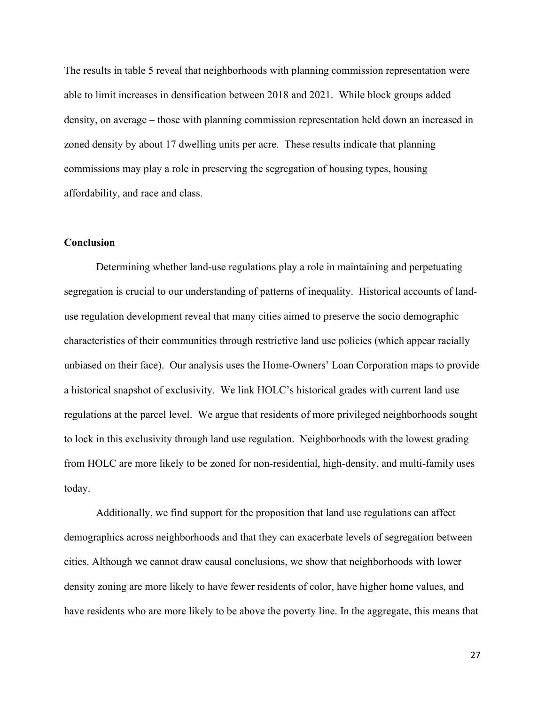The results in table 5 reveal that neighborhoods with planning commission representation were able to limit increases in densification between 2018 and 2021. While block groups added density, on average – those with planning commission representation held down an increased in zoned density by about 17 dwelling units per acre. These results indicate that planning commissions may play a role in preserving the segregation of housing types, housing affordability, and race and class.

## **Conclusion**

Determining whether land-use regulations play a role in maintaining and perpetuating segregation is crucial to our understanding of patterns of inequality. Historical accounts of landuse regulation development reveal that many cities aimed to preserve the socio demographic characteristics of their communities through restrictive land use policies (which appear racially unbiased on their face). Our analysis uses the Home-Owners' Loan Corporation maps to provide a historical snapshot of exclusivity. We link HOLC's historical grades with current land use regulations at the parcel level. We argue that residents of more privileged neighborhoods sought to lock in this exclusivity through land use regulation. Neighborhoods with the lowest grading from HOLC are more likely to be zoned for non-residential, high-density, and multi-family uses today.

Additionally, we find support for the proposition that land use regulations can affect demographics across neighborhoods and that they can exacerbate levels of segregation between cities. Although we cannot draw causal conclusions, we show that neighborhoods with lower density zoning are more likely to have fewer residents of color, have higher home values, and have residents who are more likely to be above the poverty line. In the aggregate, this means that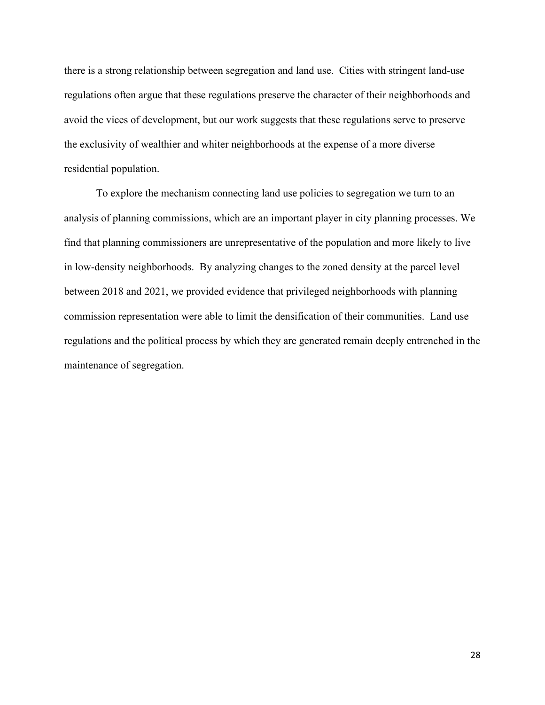there is a strong relationship between segregation and land use. Cities with stringent land-use regulations often argue that these regulations preserve the character of their neighborhoods and avoid the vices of development, but our work suggests that these regulations serve to preserve the exclusivity of wealthier and whiter neighborhoods at the expense of a more diverse residential population.

To explore the mechanism connecting land use policies to segregation we turn to an analysis of planning commissions, which are an important player in city planning processes. We find that planning commissioners are unrepresentative of the population and more likely to live in low-density neighborhoods. By analyzing changes to the zoned density at the parcel level between 2018 and 2021, we provided evidence that privileged neighborhoods with planning commission representation were able to limit the densification of their communities. Land use regulations and the political process by which they are generated remain deeply entrenched in the maintenance of segregation.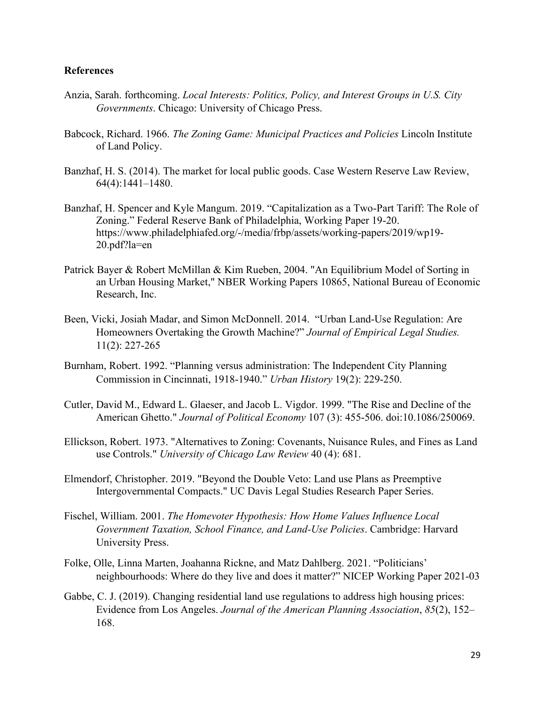## **References**

- Anzia, Sarah. forthcoming. *Local Interests: Politics, Policy, and Interest Groups in U.S. City Governments*. Chicago: University of Chicago Press.
- Babcock, Richard. 1966. *The Zoning Game: Municipal Practices and Policies* Lincoln Institute of Land Policy.
- Banzhaf, H. S. (2014). The market for local public goods. Case Western Reserve Law Review, 64(4):1441–1480.
- Banzhaf, H. Spencer and Kyle Mangum. 2019. "Capitalization as a Two-Part Tariff: The Role of Zoning." Federal Reserve Bank of Philadelphia, Working Paper 19-20. https://www.philadelphiafed.org/-/media/frbp/assets/working-papers/2019/wp19- 20.pdf?la=en
- Patrick Bayer & Robert McMillan & Kim Rueben, 2004. "An Equilibrium Model of Sorting in an Urban Housing Market," NBER Working Papers 10865, National Bureau of Economic Research, Inc.
- Been, Vicki, Josiah Madar, and Simon McDonnell. 2014. "Urban Land-Use Regulation: Are Homeowners Overtaking the Growth Machine?" *Journal of Empirical Legal Studies.*  11(2): 227-265
- Burnham, Robert. 1992. "Planning versus administration: The Independent City Planning Commission in Cincinnati, 1918-1940." *Urban History* 19(2): 229-250.
- Cutler, David M., Edward L. Glaeser, and Jacob L. Vigdor. 1999. "The Rise and Decline of the American Ghetto." *Journal of Political Economy* 107 (3): 455-506. doi:10.1086/250069.
- Ellickson, Robert. 1973. "Alternatives to Zoning: Covenants, Nuisance Rules, and Fines as Land use Controls." *University of Chicago Law Review* 40 (4): 681.
- Elmendorf, Christopher. 2019. "Beyond the Double Veto: Land use Plans as Preemptive Intergovernmental Compacts." UC Davis Legal Studies Research Paper Series.
- Fischel, William. 2001. *The Homevoter Hypothesis: How Home Values Influence Local Government Taxation, School Finance, and Land-Use Policies*. Cambridge: Harvard University Press.
- Folke, Olle, Linna Marten, Joahanna Rickne, and Matz Dahlberg. 2021. "Politicians' neighbourhoods: Where do they live and does it matter?" NICEP Working Paper 2021-03
- Gabbe, C. J. (2019). Changing residential land use regulations to address high housing prices: Evidence from Los Angeles. *Journal of the American Planning Association*, *85*(2), 152– 168.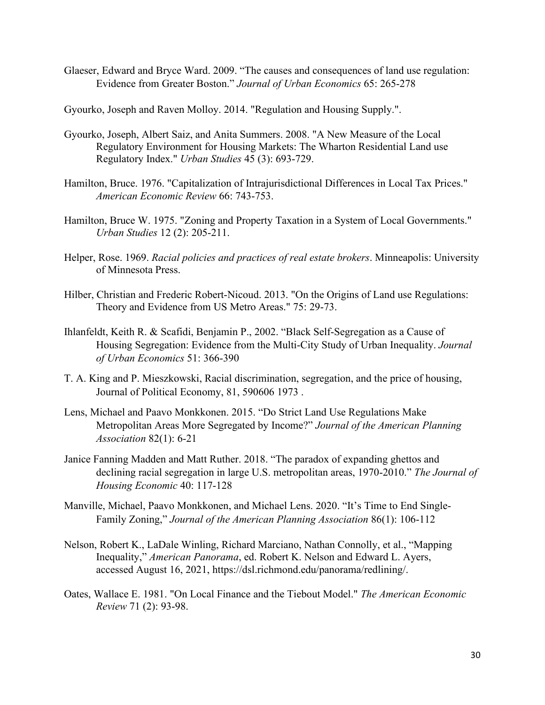Glaeser, Edward and Bryce Ward. 2009. "The causes and consequences of land use regulation: Evidence from Greater Boston." *Journal of Urban Economics* 65: 265-278

Gyourko, Joseph and Raven Molloy. 2014. "Regulation and Housing Supply.".

- Gyourko, Joseph, Albert Saiz, and Anita Summers. 2008. "A New Measure of the Local Regulatory Environment for Housing Markets: The Wharton Residential Land use Regulatory Index." *Urban Studies* 45 (3): 693-729.
- Hamilton, Bruce. 1976. "Capitalization of Intrajurisdictional Differences in Local Tax Prices." *American Economic Review* 66: 743-753.
- Hamilton, Bruce W. 1975. "Zoning and Property Taxation in a System of Local Governments." *Urban Studies* 12 (2): 205-211.
- Helper, Rose. 1969. *Racial policies and practices of real estate brokers*. Minneapolis: University of Minnesota Press.
- Hilber, Christian and Frederic Robert-Nicoud. 2013. "On the Origins of Land use Regulations: Theory and Evidence from US Metro Areas." 75: 29-73.
- Ihlanfeldt, Keith R. & Scafidi, Benjamin P., 2002. "Black Self-Segregation as a Cause of Housing Segregation: Evidence from the Multi-City Study of Urban Inequality. *Journal of Urban Economics* 51: 366-390
- T. A. King and P. Mieszkowski, Racial discrimination, segregation, and the price of housing, Journal of Political Economy, 81, 590606 1973 .
- Lens, Michael and Paavo Monkkonen. 2015. "Do Strict Land Use Regulations Make Metropolitan Areas More Segregated by Income?" *Journal of the American Planning Association* 82(1): 6-21
- Janice Fanning Madden and Matt Ruther. 2018. "The paradox of expanding ghettos and declining racial segregation in large U.S. metropolitan areas, 1970-2010." *The Journal of Housing Economic* 40: 117-128
- Manville, Michael, Paavo Monkkonen, and Michael Lens. 2020. "It's Time to End Single-Family Zoning," *Journal of the American Planning Association* 86(1): 106-112
- Nelson, Robert K., LaDale Winling, Richard Marciano, Nathan Connolly, et al., "Mapping Inequality," *American Panorama*, ed. Robert K. Nelson and Edward L. Ayers, accessed August 16, 2021, https://dsl.richmond.edu/panorama/redlining/.
- Oates, Wallace E. 1981. "On Local Finance and the Tiebout Model." *The American Economic Review* 71 (2): 93-98.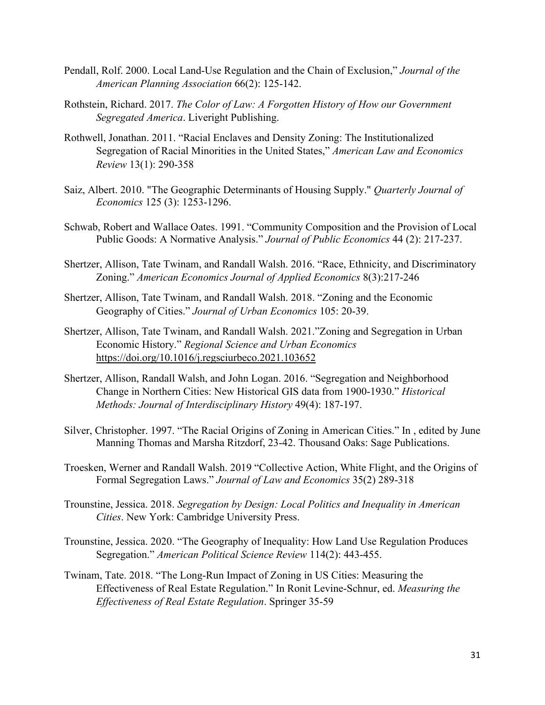- Pendall, Rolf. 2000. Local Land-Use Regulation and the Chain of Exclusion," *Journal of the American Planning Association* 66(2): 125-142.
- Rothstein, Richard. 2017. *The Color of Law: A Forgotten History of How our Government Segregated America*. Liveright Publishing.
- Rothwell, Jonathan. 2011. "Racial Enclaves and Density Zoning: The Institutionalized Segregation of Racial Minorities in the United States," *American Law and Economics Review* 13(1): 290-358
- Saiz, Albert. 2010. "The Geographic Determinants of Housing Supply." *Quarterly Journal of Economics* 125 (3): 1253-1296.
- Schwab, Robert and Wallace Oates. 1991. "Community Composition and the Provision of Local Public Goods: A Normative Analysis." *Journal of Public Economics* 44 (2): 217-237.
- Shertzer, Allison, Tate Twinam, and Randall Walsh. 2016. "Race, Ethnicity, and Discriminatory Zoning." *American Economics Journal of Applied Economics* 8(3):217-246
- Shertzer, Allison, Tate Twinam, and Randall Walsh. 2018. "Zoning and the Economic Geography of Cities." *Journal of Urban Economics* 105: 20-39.
- Shertzer, Allison, Tate Twinam, and Randall Walsh. 2021."Zoning and Segregation in Urban Economic History." *Regional Science and Urban Economics* <https://doi.org/10.1016/j.regsciurbeco.2021.103652>
- Shertzer, Allison, Randall Walsh, and John Logan. 2016. "Segregation and Neighborhood Change in Northern Cities: New Historical GIS data from 1900-1930." *Historical Methods: Journal of Interdisciplinary History* 49(4): 187-197.
- Silver, Christopher. 1997. "The Racial Origins of Zoning in American Cities." In , edited by June Manning Thomas and Marsha Ritzdorf, 23-42. Thousand Oaks: Sage Publications.
- Troesken, Werner and Randall Walsh. 2019 "Collective Action, White Flight, and the Origins of Formal Segregation Laws." *Journal of Law and Economics* 35(2) 289-318
- Trounstine, Jessica. 2018. *Segregation by Design: Local Politics and Inequality in American Cities*. New York: Cambridge University Press.
- Trounstine, Jessica. 2020. "The Geography of Inequality: How Land Use Regulation Produces Segregation." *American Political Science Review* 114(2): 443-455.
- Twinam, Tate. 2018. "The Long-Run Impact of Zoning in US Cities: Measuring the Effectiveness of Real Estate Regulation." In Ronit Levine-Schnur, ed. *Measuring the Effectiveness of Real Estate Regulation*. Springer 35-59